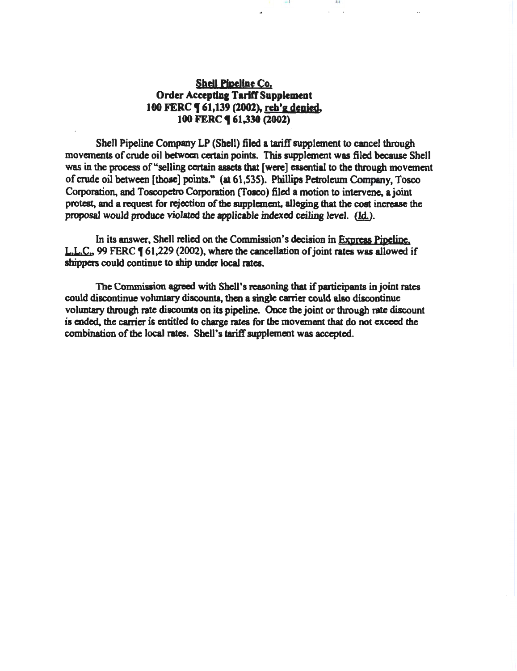# Shell Pipeline Co. Order Accepting Tariff Supplement 100 FERC **(61,139 (2002)**, reh'g denied. 100 FERC **(61,330 (2002)**

Shell Pipeline Company LP (Shell) filed a tariff supplement to cancel through movements of crude oil between certain points. This supplement was filed because Shell was in the process of "selling certain assets that [were] essential to the through movement of crude oil between [those] points." (at 61,535). Phillips Petroleum Company, Tosco Corporation, and Toscopetro Corporation (Tosco) filed a motion to intervene, a joint protest, and a request for rejection of the supplement, alleging that the cost increase the proposal would produce violated the applicable indexed ceiling level. (Id.).

1111 I I

 $-11.42$ 

In its answer, Shell relied on the Commission's decision in Express Pipeline. L.L.C., 99 FERC  $\P$  61,229 (2002), where the cancellation of joint rates was allowed if shippers could continue to ship under local rates.

The Commission agreed with Shell's reasoning that if participants in joint rates could discontinue voluntary discounts, then a single carrier could also discontinue voluntary through rate discounts on its pipeline. Once the joint or through rate discount is ended. the carrier is entitled to charge rates for the movement that do not exceed the combination of the local rates. Shell's tariff supplement was accepted.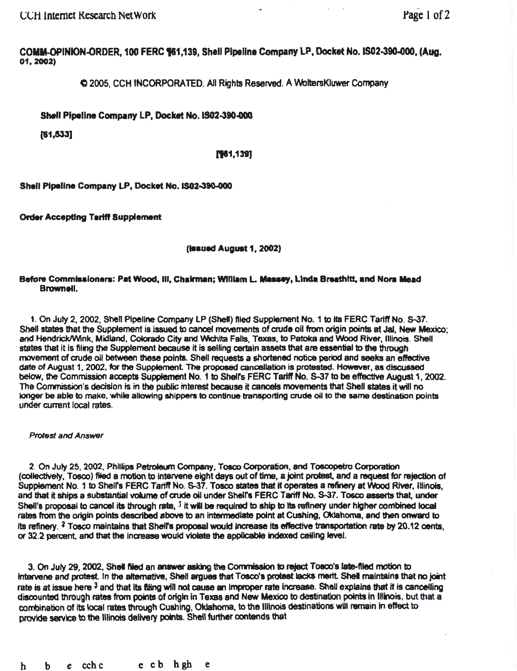CCH Internet Research NetWork **rage 1 of 2** and 1 of 2

COMM-OPINION-ORDER, 100 FERC %1.139, Shell Pipeline Company LP, Docket No. IS02-390-000, (Aug. 01, 2002)

C 2005, CCH INCORPORA TEO. All Rights Reserved. A 'NoltersKiuwer Company

Shell Pipeline Company LP, Docket No.IS02-390.000

(81,533]

## [161,139]

Shell Pipeline Company LP, Docket No. IS02-390-000

Order Accepting Tariff Supplement

(**Issued August 1, 2002**)

### Before Commissioners: Pat Wood, Ili, Chairman; William L. Massey, Linda Breathltt, and Nora Mead Brownell.

1. On July 2, 2002, Shell Pipeline Company LP (Shell) filed Supplement No. 1 to its FERC Tariff No. S-37. Shell states that the Supplement is issued to cancel movements of crude oil from origin points at Jal, New Mexico; and Hendrick/Wink, Midland, Colorado City and Wichita Falls, Texas, to Patoka and Wood River, Illinois. Shell states that it is filing the Supplement because it is selling certain assets that are essential to the through movement of crude oil between these points. Shell requests a shortened notice period and seeks an effective date of August 1, 2002, for the Supplement. The proposed cancellation is protested. However, as discussed below, the Commission accepts Supplement No. 1 to Shell's FERC Tariff No. S-37 to be effective August 1, 2002. The Commission's decision is in the public interest because it cancels movements that Shell states it will no longer be able to make, while allowing shippers to continue transporting crude oil to the same destination points under current local rates.

#### Protest and Answer

2. On July 25. 2002, Phillips Petroteum Company, Tosoo Corporation. and Toecopetro Cofporation (collectively, Tosco) filed a motion to intarvene eight days out of time, a joint protest, and a request for rejection of Supplement No. 1 to Shelrs FERC Tariff No. S-37. Tosco states that It operates a refinery at Wood River, IHinois, and that it ships a substantial volume of crude oil under Shell's FERC Tariff No. S-37. Tosco asserts that, under Shell's proposal to cancel its through rate,  $3$  it will be required to ship to its refinery under higher combined local rates from the origin points described above to an intermediate point at Cushing, Oklahoma, and then onward to its refinery.  $2$  Tosco maintains that Shell's proposal would increase its effective transportation rate by 20.12 cents. or 32.2 percent, and that the increase would violate the applicable indexed ceiling level.

3. On July 29, 2002, Shell filed an answer asking the Commission to reject Tosco's late-filed motion to intafvene and protest In the altemative, Shell argues that Tosco'a protest lacks merit Shel maintains that no joint rate is at issue here <sup>3</sup> and that its filing will not cause an improper rate increase. Shell explains that it is cancelling discounted through rates from points of origin in Texas and New Mexico to destination points in Illinois, but that a combination of its local rates through Cushing, Oklahoma, to the Illinois destinations will remain in effect to provide service to the Illinois delivery points. Shell further contends that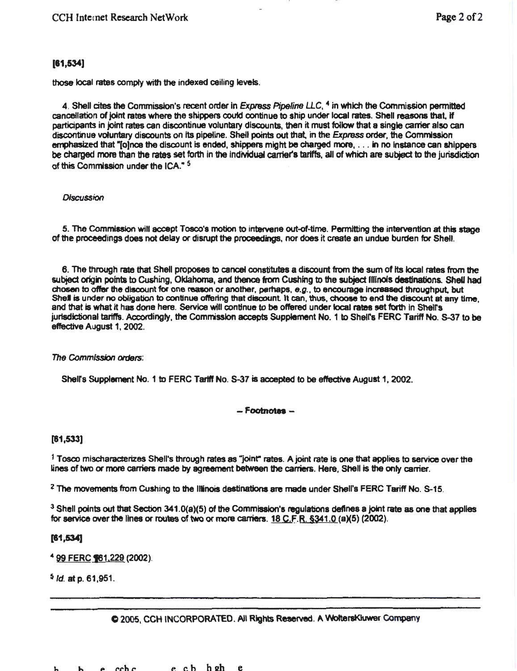# (81,534]

those local rates comply with the indexed ceiling levels.

4. Shell cites the Commission's recent order in Express Pipeline *LLC*, <sup>4</sup> in which the Commission permitted cancellation of joint rates where the shippers coutd continue to ship under local rates. Shell reasons that, if participants in joint rates can discontinue voluntary discounts, then it must follow that a single carrier also can discontinue voluntary discounts on Its pipeline. Shell points out that. in the Express order, the Commission emphasized that "[o]nce the discount is ended, shippers might be charged more, . . . in no instance can shippers be charged more than the rates set forth in the individual carrier's tariffs, all of which are subject to the jurisdiction of this Commission under the ICA." 5

## **Discussion**

5. The Commission will accept Tosco's motion to intervene out-of-time. Permitting the intervention at this stage of the proceedings does not delay or disrupt the proceedings, nor does it create an undue burden for Shell.

6. The through rate that Shell proposes to cancel constitutes a discount from the sum of its local rates from the subject origin points to Cushing, Oklahoma, and thence from Cushing to the subject Illinois destinations. Shell had chosen to offer the discount for one reason or another, perhaps,  $e.g.,$  to encourage increased throughput, but Shel is under no obligation to continue offering that discount It can, thus, choose to end the discount at any time, and that is what it has done here. Service will continue to be offered under local rates set forth in Shell's jurisdictional tariffs. Accordingly, the Commission accepts Supplement No. 1 to Shell's FERC Tariff No. S-37 to be efrective August 1, 2002.

## The Commission orders:

Shell's Supplement No. 1 to FERC Tariff No. S-37 is accepted to be effective August 1, 2002.

## - Footnotes -

## [81,533]

1 Tosco mlscharacterizes Shell's through rates as "joint" rates. A joint rate is one that applies to service over the lines of two or more carriers made by agreement between the carriers. Here, Shell is the only carrier.

*2* The movements from Cushing to the Illinois destinations are made under Shelrs FERC Tariff No. S-15.

 $3$  Shell points out that Section 341.0(a)(5) of the Commission's regulations defines a joint rate as one that applies for service over the lines or routes of two or more carriers.  $18$  C.F.R. §341.0 (a)(5) (2002).

## [81,534]

<sup>4</sup> 99 FERC **161**, 229 (2002).

 $<sup>5</sup>$  *ld.* at p. 61,951.</sup>

## C 2005, CCH INCORPORATED. All Rights Reserved. A WottersKluwer Company

h h P r..ch c e cb hszh e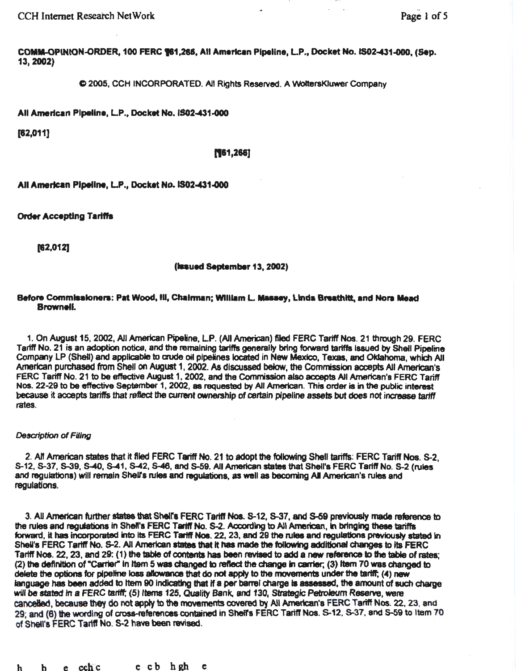CCH Internet Research NetWork **Page 1** of 5

COMM-OPINION.ORDER, 100 FERC 181,288, All American Pipeline, LP., Docket No.IS02-431.000, (Sep. 13,2002)

Q 2005, CCH INCORPORATED. All Rights Reserved. A WotteraKiuwer Company

All American Pipeline, LP., Docket No.IS02-431.000

[82,011]

#### ('1&1,268)

All American Pipeline, L.P., Docket No. IS02-431-000

**Order Accepting Tariffs** 

[82,012]

(Issued September 13, 2002)

#### Before Commissioners: Pat Wood, Ill, Chairman: William L. Massey, Linda Breathitt, and Nora Mead Brownell

1. On August 15, 2002, All American Pipeline, LP. (All American) filed FERC Tatiff Nos. 21 through 29. FERC Tariff No. 21 is an adoption notice, and the remaining tariffs generally bring forward tariffs laaued by Shell Pipeline Company LP (Shell) and applicable to crude oil pipelines located in New Mexico, Texas, and Oklahoma, which All American purchased from Shell on August 1, 2002. As discussed below, the Commission accepts All American's FERC Tariff No. 21 to be effective August 1, 2002, and the Commission also accepts All American's FERC Tariff Nos. 22-29 to be effective September 1, 2002, as requested by All American. This order is in the public interest because it accepts tariffs that reflect the current ownership of certain pipeline assets but does not increase tariff rates.

#### *Description* of Filing

2. All American states that it filed FERC Tariff No. 21 to adopt the following Shell tariffs: FERC Tariff Nos. S-2, S-12, S-37, S-39, 5-40, S-41, S-42, 5-46, and 5-59. All American states that Shell's FERC Tariff No. S-2 (rules and regulations) will remain Shell's rules and regulations, as well as becoming AII American's rules and regulations.

3. All American further states that Shell's FERC Tariff Nos. S-12, S-37, and S-59 previously made reference to the rules and regulations in Shell's FERC Tariff No. S-2. According to All American, in bringing these tariffs forward, it has incorporated into its FERC Tariff Nos. 22, 23, and 29 the rules and regulations previously stated in Shell's FERC Tariff No. S-2. All American states that it has made the following additional changes to its FERC Tariff Nos. 22, 23, and 29: (1) the table of contents has been revtsad to add a new reference to the table of rates; (2) the definition of "Carrier" in Item 5 was changed to reflect the change in carrier; (3) Item 70 was changed to delete the options for pipeline loss allowance that do not apply to the movements under the tariff; (4) new language has been added to Item 90 indicating that if a per barrel charge is assessed, the amount of such charge will be stated in a FERC tariff; (5) Items 125, Quality Bank, and 130, Strategic Petroleum Reserve, were cancelled, because they do not apply to the movements covered by All American's FERC Tariff Nos. 22, 23, and 29; and (6) the wording of cross-references contained in Shell's FERC Tariff Nos. S-12, S-37, and S-59 to Item 70 of Shell's FERC Tariff No. S-2 have been revtaed.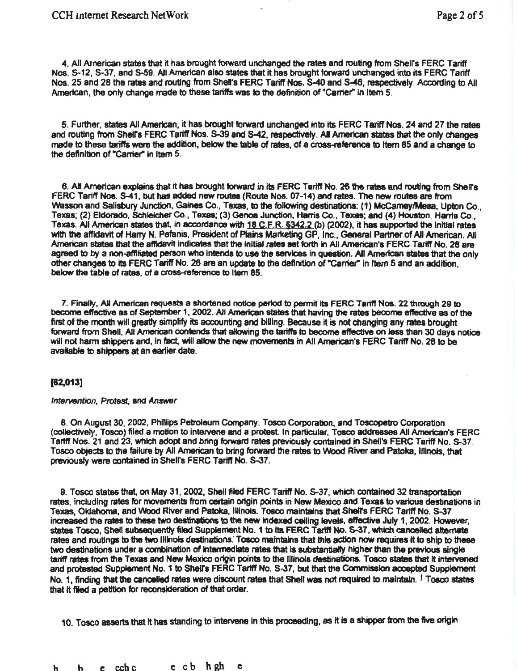4. All American states that it has brought fofward unchanged the rates and routing from Shelrs FERC Tariff Nos. S-12, S-37, and S-59. All American also states that it has brought forward unchanged into its FERC Tariff Nos. 25 and 28 the rates and routing from Shel's FERC Tariff Nos. S-40 and S-46, respectively. According to All American, the only change made to these tariffs was to the definition of "Carrier" in Item 5.

5. Further, states AJI American, it has brought forward unchanged into its FERC Tariff Nos. 24 and 27 the rates and routing from Shell's FERC Tariff Nos. S-39 and S-42, respectively. All American states that the only changes made to these tariffs were the addition, below the table of rates, of a cross-reference to rtem 85 and a change to the definition of "Carrier" in Item 5.

6. All American explains that it has brought forward in its FERC Tariff No. 26 the rates and routing from Shell's FERC Tartff Nos. S-41, but has added new routes (Route Nos. 07-14) and rates. The new routes are from 'Nasson and Salisbury Junction, Gaines Co., Texas, to the following destinations: (1) McCamey/Mesa, Upton Co., Texas; (2) Eldorado, Schleicher Co., Texas; (3) Genoa Junction, Harris Co., Texas; and (4) Houston, Hans Co., Texas. AU American states that, in accordance with 18 C.F.R. §342.2 (b) (2002}, it has supported the initial rates with the affidavit of Harry N. Pefanis, President of Plams Marketing GP, Inc., General Partner of All American. All American states that the affidavit indicates that the initial rates set forth in All American's FERC Tariff No. 26 are agreed to by a non-affiliated person who intends to use the services in question. All American states that the only other changes to its FERC Tariff No. 26 are an update to the definition of "Carriel" In rtem 5 and an addition, below the table of rates, of a cross-reference to Item 85.

7. Finally, All American requests a shortened notice period to permit its FERC Tariff Nos. 22 through 29 to become effective as of September 1, 2002. All American states that having the rates become effective as of the first of the month will greatly simplify its accounting and billing. Because it is not changing any rates brought forward from Shell. AJI American contends that sHowing the tarttfs to become effectiye on less than 30 days notice will not harm shippers and, in fact, will allow the new movements in All American's FERC Tariff No. 26 to be available to shippers at an eartier date.

## [62,013]

#### Intervention, Protest. and Answer

8. On August 30, 2002, PhHiips Petroleum Company, Tosco Corporation, and Toscopetro Corporation (collectively, Tosco) filed a motion to intetvene and a protest In particular, Tosco addresses All American's FERC Tariff Nos. 21 and 23, which adopt and bring forward rates previously contained in SheU's FERC Tariff No. s-37. Tosco objects to the failure by All American to bring forward the rates to Wood River and Patoka, Illinois, that previously were contained in Shell's FERC Tariff No. S-37.

9. Tosco states that. on May 31, 2002, Shell filed FERC Tariff No. s-37, which contained 32 transportation rates, Including rates for movements from certain origin points in New Mexico and Texas to various destinations in Texas, Oklahoma, and Wood River and PatDka, IUinois. Tosco maintains that Shelf's FERC Tariff No. S-37 increased the rates to these two destinations to the new indexed ceiling levels, effective July 1, 2002. However, states Tosco, Shell subsequently filed Supplement No. 1 to its FERC Tariff No. S-37, which canoelled alternate rates and routings to the two IHinois destinations. Tosco maintains that this action now requires it to ship to these two destinations under a combination of intermediate rates that is substantially higher than the previous single tariff rates from the Texas and New Mexico origin points to the Illinois destinations. Tosco states that it intervened and protested Supplement No. 1 to Shell's FERC Tariff No. S-37, but that the Commission accepted Supplement No. 1, finding that the cancelled rates were discount rates that Shell was not required to maintain.  $1$  Tosco states that it fled a petition for reconsideration of that order.

10. Tosco asserts that it has standing to intervene in this proceeding, as it is a shipper from the five origin

h b e cchc e cb hgh e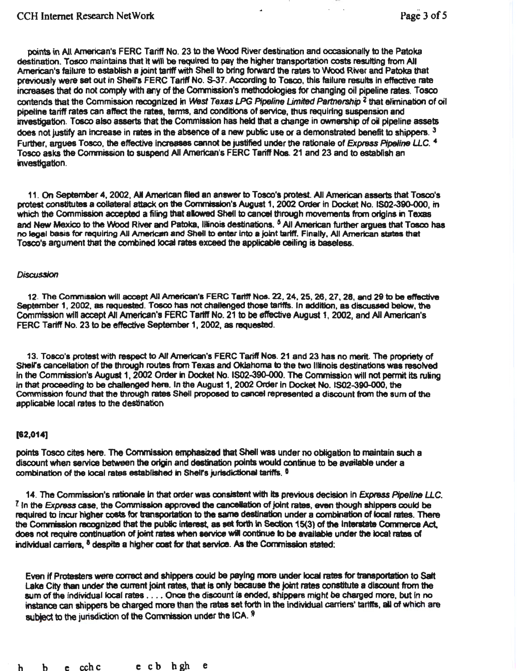points In All American's FERC Tariff No. 23 to the Wood River destination and occasionally to the Patoka destination. Tosco maintains that It will be required to pay the higher transportation costs resulting from All American's failure to establish a joint tariff with Shell to bring forward the rates to Wood River and Patoka that previously were set out in Shelrs FERC Tariff No. S-37. According to Tosoo, this failure results In effactive rate increases that do not comply with any of the Commission's methodologies for changing oil pipeline rates. Tosco contends that the Commission recognized In West Texas LPG Pipeline *Umited* Partnership z that elimination of oil pipeline tariff rates can affect the rates, terms, and conditions of service, thus requiring suspension and investigation. Tosco also asserts that the Commission has held that a change in ownership of oil pipeline assets does not justify an increase in rates in the absence of a new public use or a demonstrated benefit to shippers.  $3$ Further, argues Tosco, the effective increases cannot be justified under the rationale of Express Pipeline LLC. 4 Tosco asks the Commission to suspend All American's FERC Tariff Nos. 21 and 23 and to establish an investigation.

11 . On September 4, 2002, All American filed an answer to Tosco's protest All American assens that Tosco's protest constitutes a collateral attack on the Convnisaion's August 1, 2002 Order in Docket No. 1502-390-000, in which the Commission accepted a filing that allowed Shell to cancel through movements from origins in Texas and New Mexico to the Wood River and Patoka, Illinois destinations. <sup>5</sup> All American further argues that Tosco has no legal basis for requiring All American and Shell to enter into a joint tariff. Finally, All American states that Tosco's argument that the combined local rates exceed the applicable ceiling is basefes&.

## **Discussion**

12. The Commission will accept All American's FERC Tariff Nos. 22, 24, 25, 26, 27, 28, and 29 to be effective September 1, 2002, as requested. Tosco has not challenged those tariffs. In addition, as discussed below, the Commtssion wfn accept All American's FERC Tartff No. 21 to be effective August 1, 2002, and All American's FERC Tariff No. 23 to be effective September 1, 2002, as requested.

13. Toaco's protest with respect to All American's FERC Tariff Nos. 21 and 23 has no merit. The propriety of Shell's cancellation of the through routes from Texas and Oklahoma to the two Illinois destinations was resolved in the Commission's August 1, 2002 Order in Docket No. IS02-390-000. The Commission will not permit its ruling in that proceeding to be challenged here. In the August 1, 2002 Order in Docket No. IS02-390-000, the Commission found that the through rates Shell proposed to cancel represented a discount from the sum of the applicable local rates to the destination

## [62,014]

points Tosco cites here. The Commission emphasized that Shal was under no obtigation to maintain such a discount when service between the origin and destination points would continue to be available under a combination of the local rates established in Shell's jurisdictional tariffs. <sup>8</sup>

14. The Commission's rationale in that order was consistent with its previous decision in Express Pipeline LLC.  $I$  In the Express case, the Commission approved the cancellation of joint rates, even though shippers could be required to incur higher costs for transportation to the same destination under a combination of local rates. There<br>the Commission recognized that the public interest, as set forth in Section 15(3) of the interstate Commer does not require continuation of joint rates when service will continue to be available under the local rates of individual carriers, <sup>8</sup> despite a higher cost for that service. As the Commission stated:

Even if Protesters were correct and shippers could be paying more under local rates for transportation to Salt Lake City than under the current joint rates, that is only becauee the joint rates constitute a discount from the sum of the individual local rates .... Once the discount is ended, shippers might be charged more, but in no instance can shippers be charged more than the rates set forth in the individual carriers' tariffs, all of which are subject to the jurisdiction of the Commission under the ICA. 9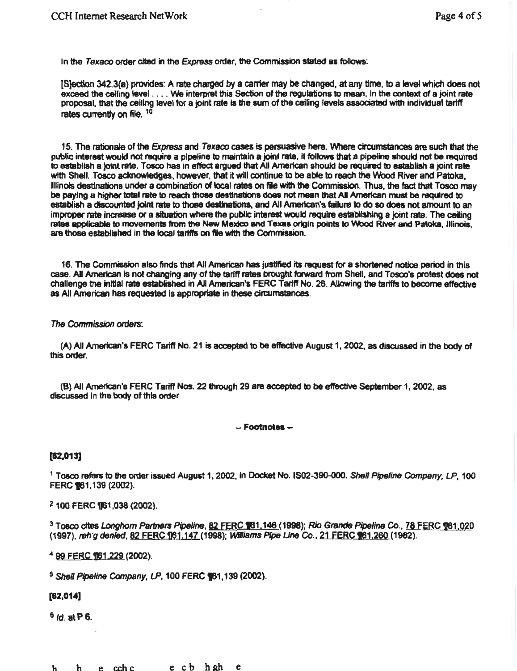In the Texaco order cited in the Express order, the Commission stated as follows:

[S]ection 342.3(a) provides: A rate charged by a carrier may be changed, at any time, to a level which does not exceed the ceiling level .. .. We mterpret this Section of the regulations to mean, In the context of a joint rate proposal, that the ceiling level for a joint rate is the sum of the ceiling levels associated with individual tariff rates currently on file. 10

15. The rationale of the Express and Texaco cases is persuasive here. Where circumstances are such that the public interest would not require a pipeline to maintain a joint rate, it follows that a pipeline should not be required to establish a joint rate. Tosco has in effect argued that All American should be required to establish a joint rate with Shell. Tosco acknowledges, however, that it will continue to be able to reach the Wood River and Patoka, Illinois destinations under a combination d local rates on file with the Commission. Thus, the fact that Tosco may be paying a higher total rate to reach those destinations does not mean that All American must be required to establish a discounted joint rate to those destinations, and All American's failure to do so does not amount to an improper rate increase or a situation where the public interest would require establishing a joint rate. The ceiling rates applicable to movements from the New Mexico and Texas origin points to Wood River and Patoka, Illinois, are those established in the local tariffs on file with the Commission.

16. The Commission also finds that All American has justified its request for a shortened notice period in this case. All American is not changing any of the tariff rates brought forward from Shell, and Tosco's protest does not challenge the initial rate established in AII American's FERC Tariff No. 26. Allowing the tariffs to become effective as All American has requested is appropriate in these circumstances.

### The Commission orders:

(A) AJI American's FERC Tariff No. 21 is acceptsd to be effective August 1, 2002, as discussed in the body of this order.

(8) All American's FERC Tarttf Nos. 22 through 29 are accepted to be effective September 1, 2002, as discussed in the body of this order.

#### $-$ Footnotes  $-$

## [82,013]

<sup>1</sup> Tosco refers to the order issued August 1, 2002, in Docket No. IS02-390-000. Shell Pipeline Company, LP, 100 FERC **161**, 139 (2002).

<sup>2</sup> 100 FERC 161,038 (2002).

<sup>3</sup> Tosco cites *Longhorn Partners Pipeline*, 82 FERC 161.146 (1998); Rio Grande Pipeline Co. 76 FERC 1061.020 (1997), reh<sup>r</sup>g denied, 82 FERC 161,147 (1998); Williams *Pipe Line Co.*, 21 FERC 161,260 (1982).

<sup>4</sup> 99 FERC ¶61,229 (2002).

 $<sup>5</sup>$  Shell Pipeline Company, LP, 100 FERC  $*$ 61, 139 (2002).</sup>

## [82,014)

 $6/d$  at P 6.

h he cchce c b hahe